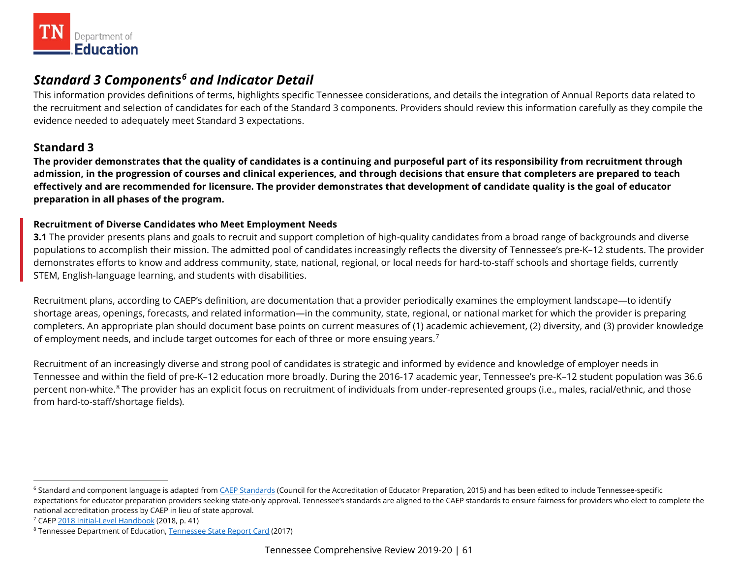<span id="page-60-2"></span><span id="page-60-1"></span><span id="page-60-0"></span>

# *Standard 3 Components[6](#page-60-0) and Indicator Detail*

 evidence needed to adequately meet Standard 3 expectations. This information provides definitions of terms, highlights specific Tennessee considerations, and details the integration of Annual Reports data related to the recruitment and selection of candidates for each of the Standard 3 components. Providers should review this information carefully as they compile the

# **Standard 3**

 **admission, in the progression of courses and clinical experiences, and through decisions that ensure that completers are prepared to teach effectively and are recommended for licensure. The provider demonstrates that development of candidate quality is the goal of educator The provider demonstrates that the quality of candidates is a continuing and purposeful part of its responsibility from recruitment through preparation in all phases of the program.** 

# **Recruitment of Diverse Candidates who Meet Employment Needs**

**3.1** The provider presents plans and goals to recruit and support completion of high-quality candidates from a broad range of backgrounds and diverse populations to accomplish their mission. The admitted pool of candidates increasingly reflects the diversity of Tennessee's pre-K–12 students. The provider demonstrates efforts to know and address community, state, national, regional, or local needs for hard-to-staff schools and shortage fields, currently STEM, English-language learning, and students with disabilities.

of employment needs, and include target outcomes for each of three or more ensuing years.<sup>[7](#page-60-1)</sup> Recruitment plans, according to CAEP's definition, are documentation that a provider periodically examines the employment landscape—to identify shortage areas, openings, forecasts, and related information—in the community, state, regional, or national market for which the provider is preparing completers. An appropriate plan should document base points on current measures of (1) academic achievement, (2) diversity, and (3) provider knowledge

 Tennessee and within the field of pre-K–12 education more broadly. During the 2016-17 academic year, Tennessee's pre-K–12 student population was 36.6 Recruitment of an increasingly diverse and strong pool of candidates is strategic and informed by evidence and knowledge of employer needs in percent non-white.<sup>8</sup> The provider has an explicit focus on recruitment of individuals from under-represented groups (i.e., males, racial/ethnic, and those from hard-to-staff/shortage fields).

-

<sup>&</sup>lt;sup>6</sup> Standard and component language is adapted from [CAEP Standards](http://caepnet.org/standards/introduction) (Council for the Accreditation of Educator Preparation, 2015) and has been edited to include Tennessee-specific expectations for educator preparation providers seeking state-only approval. Tennessee's standards are aligned to the CAEP standards to ensure fairness for providers who elect to complete the

national accreditation process by CAEP in lieu of state approval.<br><sup>7</sup> CAEP <u>2018 Initial-Level Handbook</u> (2018, p. 41)<br><sup>8</sup> Tennessee Department of Education, <u>Tennessee State Report Card</u> (2017)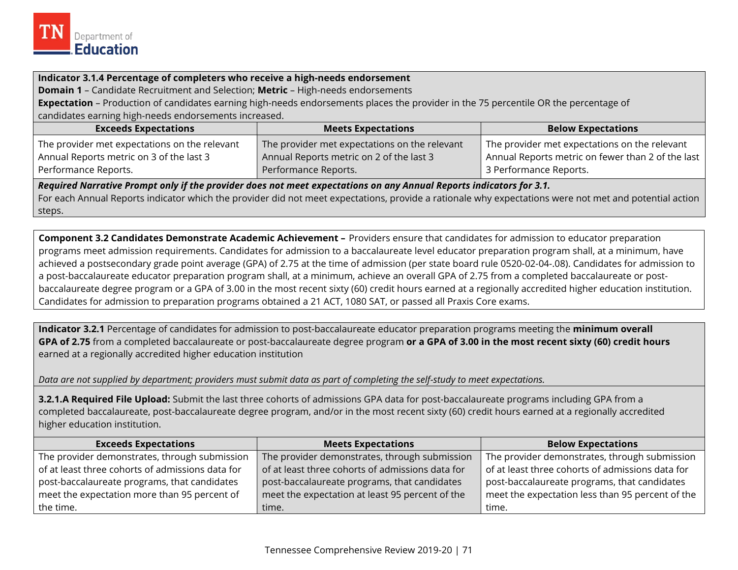

#### **Indicator 3.1.4 Percentage of completers who receive a high-needs endorsement**

**Domain 1** – Candidate Recruitment and Selection; **Metric** – High-needs endorsements

 **Expectation** – Production of candidates earning high-needs endorsements places the provider in the 75 percentile OR the percentage of candidates earning high-needs endorsements increased.

| <b>Exceeds Expectations</b>                   | <b>Meets Expectations</b>                     | <b>Below Expectations</b>                         |
|-----------------------------------------------|-----------------------------------------------|---------------------------------------------------|
| The provider met expectations on the relevant | The provider met expectations on the relevant | The provider met expectations on the relevant     |
| Annual Reports metric on 3 of the last 3      | Annual Reports metric on 2 of the last 3      | Annual Reports metric on fewer than 2 of the last |
| Performance Reports.                          | Performance Reports.                          | 3 Performance Reports.                            |

*Required Narrative Prompt only if the provider does not meet expectations on any Annual Reports indicators for 3.1.* 

 For each Annual Reports indicator which the provider did not meet expectations, provide a rationale why expectations were not met and potential action steps.

**Component 3.2 Candidates Demonstrate Academic Achievement –** Providers ensure that candidates for admission to educator preparation programs meet admission requirements. Candidates for admission to a baccalaureate level educator preparation program shall, at a minimum, have achieved a postsecondary grade point average (GPA) of 2.75 at the time of admission (per state board rule 0520-02-04-.08). Candidates for admission to a post-baccalaureate educator preparation program shall, at a minimum, achieve an overall GPA of 2.75 from a completed baccalaureate or postbaccalaureate degree program or a GPA of 3.00 in the most recent sixty (60) credit hours earned at a regionally accredited higher education institution. Candidates for admission to preparation programs obtained a 21 ACT, 1080 SAT, or passed all Praxis Core exams.

 **GPA of 2.75** from a completed baccalaureate or post-baccalaureate degree program **or a GPA of 3.00 in the most recent sixty (60) credit hours Indicator 3.2.1** Percentage of candidates for admission to post-baccalaureate educator preparation programs meeting the **minimum overall**  earned at a regionally accredited higher education institution

*Data are not supplied by department; providers must submit data as part of completing the self-study to meet expectations.* 

**3.2.1.A Required File Upload:** Submit the last three cohorts of admissions GPA data for post-baccalaureate programs including GPA from a completed baccalaureate, post-baccalaureate degree program, and/or in the most recent sixty (60) credit hours earned at a regionally accredited higher education institution.

| <b>Exceeds Expectations</b>                      | <b>Meets Expectations</b>                        | <b>Below Expectations</b>                        |
|--------------------------------------------------|--------------------------------------------------|--------------------------------------------------|
| The provider demonstrates, through submission    | The provider demonstrates, through submission    | The provider demonstrates, through submission    |
| of at least three cohorts of admissions data for | of at least three cohorts of admissions data for | of at least three cohorts of admissions data for |
| post-baccalaureate programs, that candidates     | post-baccalaureate programs, that candidates     | post-baccalaureate programs, that candidates     |
| meet the expectation more than 95 percent of     | meet the expectation at least 95 percent of the  | meet the expectation less than 95 percent of the |
| the time.                                        | time.                                            | time.                                            |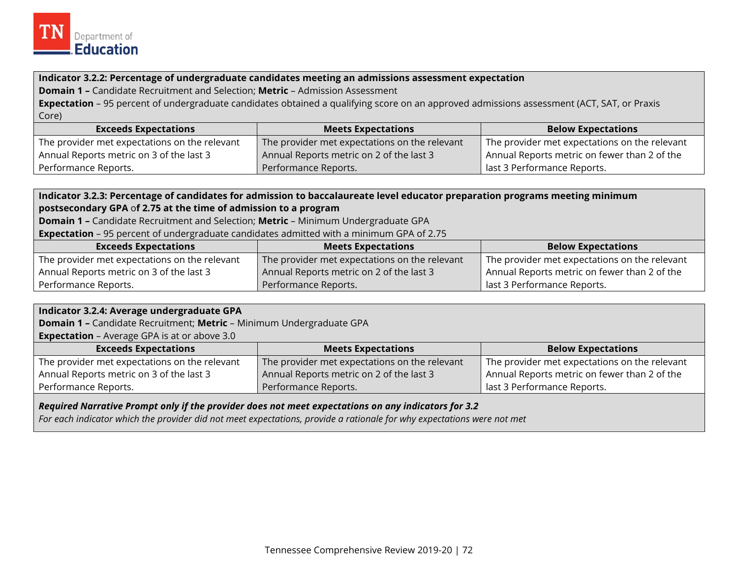

#### **Indicator 3.2.2: Percentage of undergraduate candidates meeting an admissions assessment expectation**

**Domain 1 –** Candidate Recruitment and Selection; **Metric** – Admission Assessment

 **Expectation** – 95 percent of undergraduate candidates obtained a qualifying score on an approved admissions assessment (ACT, SAT, or Praxis Core)

| <b>Exceeds Expectations</b>                   | $\blacksquare$ Meets Expectations $\blacksquare$ | <b>Below Expectations</b>                     |
|-----------------------------------------------|--------------------------------------------------|-----------------------------------------------|
| The provider met expectations on the relevant | The provider met expectations on the relevant    | The provider met expectations on the relevant |
| Annual Reports metric on 3 of the last 3      | Annual Reports metric on 2 of the last 3         | Annual Reports metric on fewer than 2 of the  |
| Performance Reports.                          | Performance Reports.                             | I last 3 Performance Reports.                 |

# **postsecondary GPA** o**f 2.75 at the time of admission to a program Indicator 3.2.3: Percentage of candidates for admission to baccalaureate level educator preparation programs meeting minimum**

**Domain 1 –** Candidate Recruitment and Selection; **Metric** – Minimum Undergraduate GPA

**Expectation** – 95 percent of undergraduate candidates admitted with a minimum GPA of 2.75

| <b>Exceeds Expectations</b>                   | <b>Meets Expectations</b>                     | <b>Below Expectations</b>                     |
|-----------------------------------------------|-----------------------------------------------|-----------------------------------------------|
| The provider met expectations on the relevant | The provider met expectations on the relevant | The provider met expectations on the relevant |
| Annual Reports metric on 3 of the last 3      | Annual Reports metric on 2 of the last 3      | Annual Reports metric on fewer than 2 of the  |
| Performance Reports.                          | Performance Reports.                          | last 3 Performance Reports.                   |

### **Indicator 3.2.4: Average undergraduate GPA**

**Domain 1 –** Candidate Recruitment; **Metric** – Minimum Undergraduate GPA

**Expectation** – Average GPA is at or above 3.0

| <b>Exceeds Expectations</b>                   | <b>Meets Expectations</b>                     | <b>Below Expectations</b>                     |
|-----------------------------------------------|-----------------------------------------------|-----------------------------------------------|
| The provider met expectations on the relevant | The provider met expectations on the relevant | The provider met expectations on the relevant |
| Annual Reports metric on 3 of the last 3      | Annual Reports metric on 2 of the last 3      | Annual Reports metric on fewer than 2 of the  |
| Performance Reports.                          | Performance Reports.                          | <sup>1</sup> last 3 Performance Reports.      |

*Required Narrative Prompt only if the provider does not meet expectations on any indicators for 3.2* 

*For each indicator which the provider did not meet expectations, provide a rationale for why expectations were not met*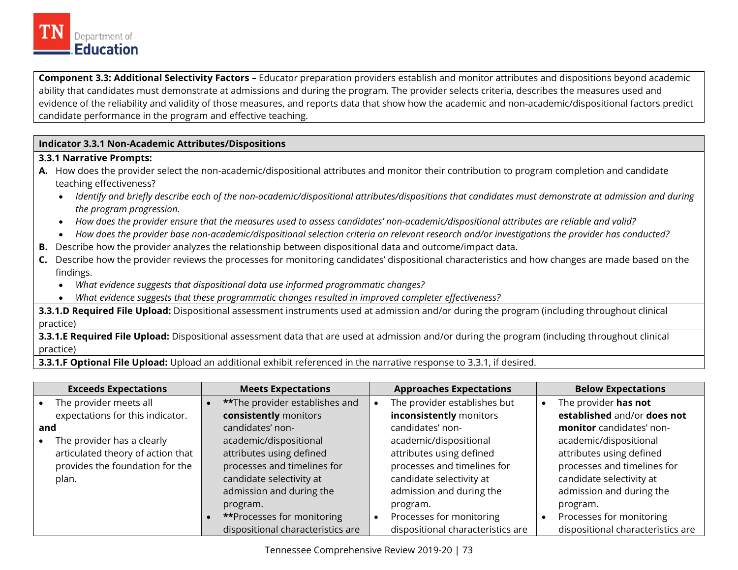

**Component 3.3: Additional Selectivity Factors –** Educator preparation providers establish and monitor attributes and dispositions beyond academic ability that candidates must demonstrate at admissions and during the program. The provider selects criteria, describes the measures used and evidence of the reliability and validity of those measures, and reports data that show how the academic and non-academic/dispositional factors predict candidate performance in the program and effective teaching.

#### **Indicator 3.3.1 Non-Academic Attributes/Dispositions**

#### **3.3.1 Narrative Prompts:**

- **A.** How does the provider select the non-academic/dispositional attributes and monitor their contribution to program completion and candidate teaching effectiveness?
	- *Identify and briefly describe each of the non-academic/dispositional attributes/dispositions that candidates must demonstrate at admission and during the program progression.*
	- *How does the provider ensure that the measures used to assess candidates' non-academic/dispositional attributes are reliable and valid?*
	- *How does the provider base non-academic/dispositional selection criteria on relevant research and/or investigations the provider has conducted?*
- **B.** Describe how the provider analyzes the relationship between dispositional data and outcome/impact data.
- **C.** Describe how the provider reviews the processes for monitoring candidates' dispositional characteristics and how changes are made based on the findings.
	- *What evidence suggests that dispositional data use informed programmatic changes?*
	- *What evidence suggests that these programmatic changes resulted in improved completer effectiveness?*

**3.3.1.D Required File Upload:** Dispositional assessment instruments used at admission and/or during the program (including throughout clinical practice)

**3.3.1.E Required File Upload:** Dispositional assessment data that are used at admission and/or during the program (including throughout clinical practice)

**3.3.1.F Optional File Upload:** Upload an additional exhibit referenced in the narrative response to 3.3.1, if desired.

|           | <b>Exceeds Expectations</b>       | <b>Meets Expectations</b>              | <b>Approaches Expectations</b>    | <b>Below Expectations</b>         |
|-----------|-----------------------------------|----------------------------------------|-----------------------------------|-----------------------------------|
| $\bullet$ | The provider meets all            | <b>**</b> The provider establishes and | The provider establishes but      | The provider has not              |
|           | expectations for this indicator.  | consistently monitors                  | inconsistently monitors           | established and/or does not       |
| and       |                                   | candidates' non-                       | candidates' non-                  | monitor candidates' non-          |
| $\bullet$ | The provider has a clearly        | academic/dispositional                 | academic/dispositional            | academic/dispositional            |
|           | articulated theory of action that | attributes using defined               | attributes using defined          | attributes using defined          |
|           | provides the foundation for the   | processes and timelines for            | processes and timelines for       | processes and timelines for       |
|           | plan.                             | candidate selectivity at               | candidate selectivity at          | candidate selectivity at          |
|           |                                   | admission and during the               | admission and during the          | admission and during the          |
|           |                                   | program.                               | program.                          | program.                          |
|           |                                   | <b>**Processes for monitoring</b>      | Processes for monitoring          | Processes for monitoring          |
|           |                                   | dispositional characteristics are      | dispositional characteristics are | dispositional characteristics are |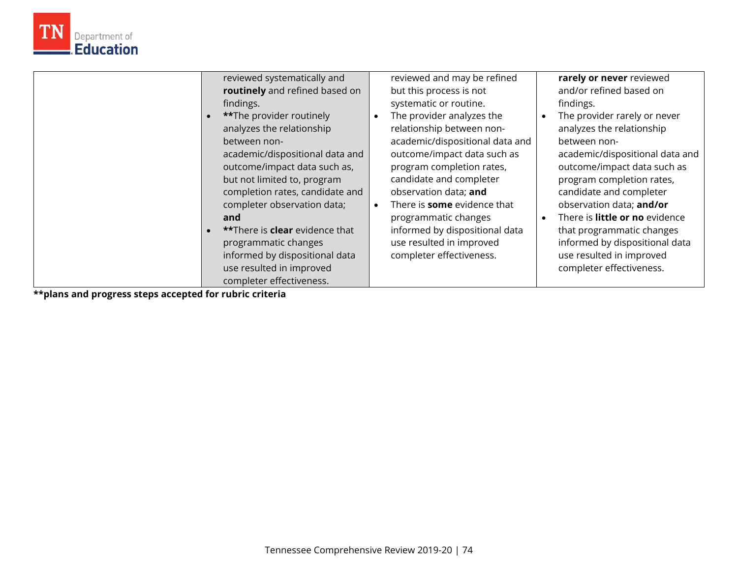

**\*\*plans and progress steps accepted for rubric criteria** 

Department of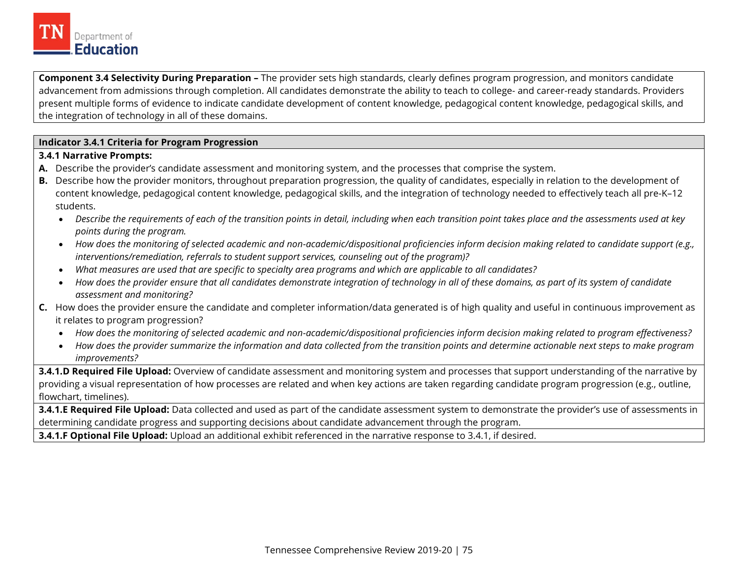

**Component 3.4 Selectivity During Preparation –** The provider sets high standards, clearly defines program progression, and monitors candidate advancement from admissions through completion. All candidates demonstrate the ability to teach to college- and career-ready standards. Providers present multiple forms of evidence to indicate candidate development of content knowledge, pedagogical content knowledge, pedagogical skills, and the integration of technology in all of these domains.

#### **Indicator 3.4.1 Criteria for Program Progression**

#### **3.4.1 Narrative Prompts:**

- **A.** Describe the provider's candidate assessment and monitoring system, and the processes that comprise the system.
- **B.** Describe how the provider monitors, throughout preparation progression, the quality of candidates, especially in relation to the development of content knowledge, pedagogical content knowledge, pedagogical skills, and the integration of technology needed to effectively teach all pre-K–12 students.
	- *Describe the requirements of each of the transition points in detail, including when each transition point takes place and the assessments used at key points during the program.*
	- *How does the monitoring of selected academic and non-academic/dispositional proficiencies inform decision making related to candidate support (e.g., interventions/remediation, referrals to student support services, counseling out of the program)?*
	- *What measures are used that are specific to specialty area programs and which are applicable to all candidates?*
	- *How does the provider ensure that all candidates demonstrate integration of technology in all of these domains, as part of its system of candidate assessment and monitoring?*
- **C.** How does the provider ensure the candidate and completer information/data generated is of high quality and useful in continuous improvement as it relates to program progression?
	- *How does the monitoring of selected academic and non-academic/dispositional proficiencies inform decision making related to program effectiveness?*
	- *How does the provider summarize the information and data collected from the transition points and determine actionable next steps to make program improvements?*

**3.4.1.D Required File Upload:** Overview of candidate assessment and monitoring system and processes that support understanding of the narrative by providing a visual representation of how processes are related and when key actions are taken regarding candidate program progression (e.g., outline, flowchart, timelines).

 determining candidate progress and supporting decisions about candidate advancement through the program. **3.4.1.E Required File Upload:** Data collected and used as part of the candidate assessment system to demonstrate the provider's use of assessments in

**3.4.1.F Optional File Upload:** Upload an additional exhibit referenced in the narrative response to 3.4.1, if desired.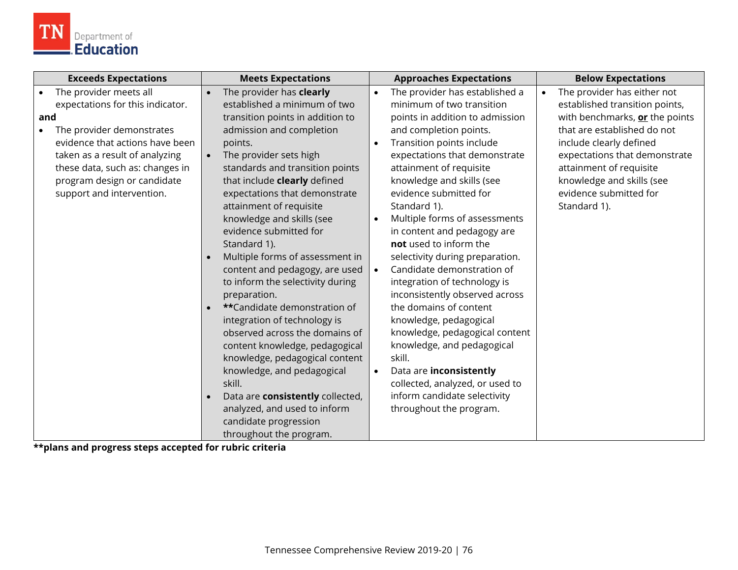

| <b>Exceeds Expectations</b>                                                                                                                                                                                                                                                     | <b>Meets Expectations</b>                                                                                                                                                                                                                                                                                                                                                                                                                                                                                                                                                                                                                                                                                                                                                                                                                       | <b>Approaches Expectations</b>                                                                                                                                                                                                                                                                                                                                                                                                                                                                                                                                                                                                                                                                                                                                                                                                                | <b>Below Expectations</b>                                                                                                                                                                                                                                                                                 |
|---------------------------------------------------------------------------------------------------------------------------------------------------------------------------------------------------------------------------------------------------------------------------------|-------------------------------------------------------------------------------------------------------------------------------------------------------------------------------------------------------------------------------------------------------------------------------------------------------------------------------------------------------------------------------------------------------------------------------------------------------------------------------------------------------------------------------------------------------------------------------------------------------------------------------------------------------------------------------------------------------------------------------------------------------------------------------------------------------------------------------------------------|-----------------------------------------------------------------------------------------------------------------------------------------------------------------------------------------------------------------------------------------------------------------------------------------------------------------------------------------------------------------------------------------------------------------------------------------------------------------------------------------------------------------------------------------------------------------------------------------------------------------------------------------------------------------------------------------------------------------------------------------------------------------------------------------------------------------------------------------------|-----------------------------------------------------------------------------------------------------------------------------------------------------------------------------------------------------------------------------------------------------------------------------------------------------------|
| The provider meets all<br>expectations for this indicator.<br>and<br>The provider demonstrates<br>$\bullet$<br>evidence that actions have been<br>taken as a result of analyzing<br>these data, such as: changes in<br>program design or candidate<br>support and intervention. | The provider has clearly<br>established a minimum of two<br>transition points in addition to<br>admission and completion<br>points.<br>The provider sets high<br>$\bullet$<br>standards and transition points<br>that include clearly defined<br>expectations that demonstrate<br>attainment of requisite<br>knowledge and skills (see<br>evidence submitted for<br>Standard 1).<br>Multiple forms of assessment in<br>content and pedagogy, are used<br>to inform the selectivity during<br>preparation.<br>**Candidate demonstration of<br>integration of technology is<br>observed across the domains of<br>content knowledge, pedagogical<br>knowledge, pedagogical content<br>knowledge, and pedagogical<br>skill.<br>Data are consistently collected,<br>analyzed, and used to inform<br>candidate progression<br>throughout the program. | The provider has established a<br>$\bullet$<br>minimum of two transition<br>points in addition to admission<br>and completion points.<br>Transition points include<br>$\bullet$<br>expectations that demonstrate<br>attainment of requisite<br>knowledge and skills (see<br>evidence submitted for<br>Standard 1).<br>Multiple forms of assessments<br>$\bullet$<br>in content and pedagogy are<br>not used to inform the<br>selectivity during preparation.<br>Candidate demonstration of<br>$\bullet$<br>integration of technology is<br>inconsistently observed across<br>the domains of content<br>knowledge, pedagogical<br>knowledge, pedagogical content<br>knowledge, and pedagogical<br>skill.<br>Data are inconsistently<br>$\bullet$<br>collected, analyzed, or used to<br>inform candidate selectivity<br>throughout the program. | The provider has either not<br>$\bullet$<br>established transition points,<br>with benchmarks, or the points<br>that are established do not<br>include clearly defined<br>expectations that demonstrate<br>attainment of requisite<br>knowledge and skills (see<br>evidence submitted for<br>Standard 1). |

**\*\*plans and progress steps accepted for rubric criteria**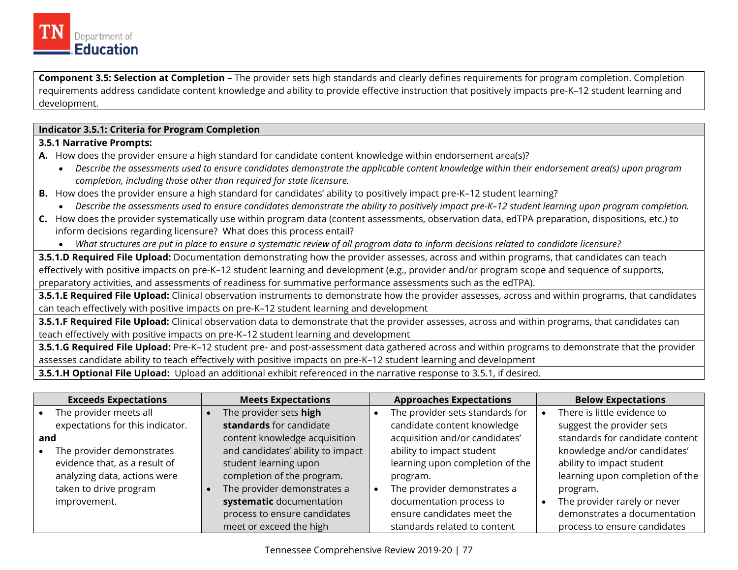

**Component 3.5: Selection at Completion –** The provider sets high standards and clearly defines requirements for program completion. Completion requirements address candidate content knowledge and ability to provide effective instruction that positively impacts pre-K–12 student learning and development.

#### **Indicator 3.5.1: Criteria for Program Completion**

#### **3.5.1 Narrative Prompts:**

- **A.** How does the provider ensure a high standard for candidate content knowledge within endorsement area(s)?
	- *Describe the assessments used to ensure candidates demonstrate the applicable content knowledge within their endorsement area(s) upon program completion, including those other than required for state licensure.*
- **B.** How does the provider ensure a high standard for candidates' ability to positively impact pre-K–12 student learning?
	- *Describe the assessments used to ensure candidates demonstrate the ability to positively impact pre-K–12 student learning upon program completion.*
- **C.** How does the provider systematically use within program data (content assessments, observation data, edTPA preparation, dispositions, etc.) to inform decisions regarding licensure? What does this process entail?
	- *What structures are put in place to ensure a systematic review of all program data to inform decisions related to candidate licensure?*

**3.5.1.D Required File Upload:** Documentation demonstrating how the provider assesses, across and within programs, that candidates can teach effectively with positive impacts on pre-K–12 student learning and development (e.g., provider and/or program scope and sequence of supports, preparatory activities, and assessments of readiness for summative performance assessments such as the edTPA).

**3.5.1.E Required File Upload:** Clinical observation instruments to demonstrate how the provider assesses, across and within programs, that candidates can teach effectively with positive impacts on pre-K–12 student learning and development

**3.5.1.F Required File Upload:** Clinical observation data to demonstrate that the provider assesses, across and within programs, that candidates can teach effectively with positive impacts on pre-K–12 student learning and development

**3.5.1.G Required File Upload:** Pre-K–12 student pre- and post-assessment data gathered across and within programs to demonstrate that the provider assesses candidate ability to teach effectively with positive impacts on pre-K–12 student learning and development

**3.5.1.H Optional File Upload:** Upload an additional exhibit referenced in the narrative response to 3.5.1, if desired.

|     | <b>Exceeds Expectations</b>      | <b>Meets Expectations</b>         | <b>Approaches Expectations</b>  | <b>Below Expectations</b>       |
|-----|----------------------------------|-----------------------------------|---------------------------------|---------------------------------|
|     | The provider meets all           | The provider sets high            | The provider sets standards for | There is little evidence to     |
|     | expectations for this indicator. | standards for candidate           | candidate content knowledge     | suggest the provider sets       |
| and |                                  | content knowledge acquisition     | acquisition and/or candidates'  | standards for candidate content |
|     | The provider demonstrates        | and candidates' ability to impact | ability to impact student       | knowledge and/or candidates'    |
|     | evidence that, as a result of    | student learning upon             | learning upon completion of the | ability to impact student       |
|     | analyzing data, actions were     | completion of the program.        | program.                        | learning upon completion of the |
|     | taken to drive program           | The provider demonstrates a       | The provider demonstrates a     | program.                        |
|     | improvement.                     | systematic documentation          | documentation process to        | The provider rarely or never    |
|     |                                  | process to ensure candidates      | ensure candidates meet the      | demonstrates a documentation    |
|     |                                  | meet or exceed the high           | standards related to content    | process to ensure candidates    |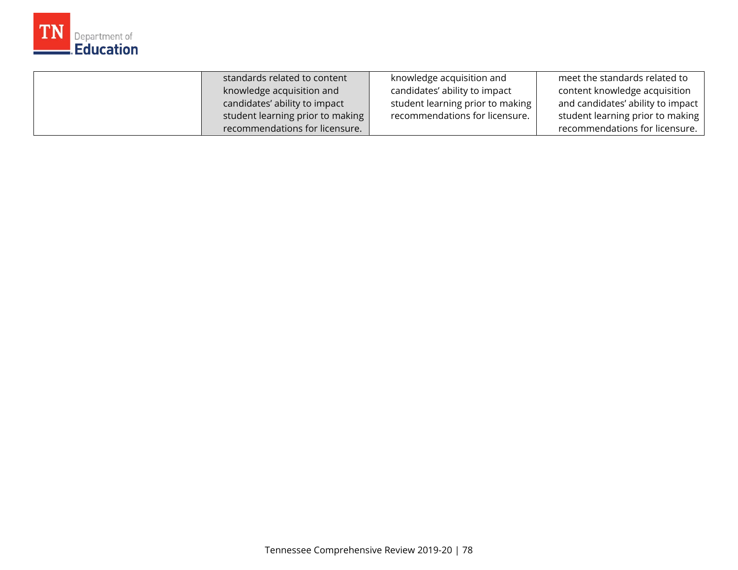

| standards related to content     | knowledge acquisition and        | meet the standards related to     |
|----------------------------------|----------------------------------|-----------------------------------|
| knowledge acquisition and        | candidates' ability to impact    | content knowledge acquisition     |
| candidates' ability to impact    | student learning prior to making | and candidates' ability to impact |
| student learning prior to making | recommendations for licensure.   | student learning prior to making  |
| recommendations for licensure.   |                                  | recommendations for licensure.    |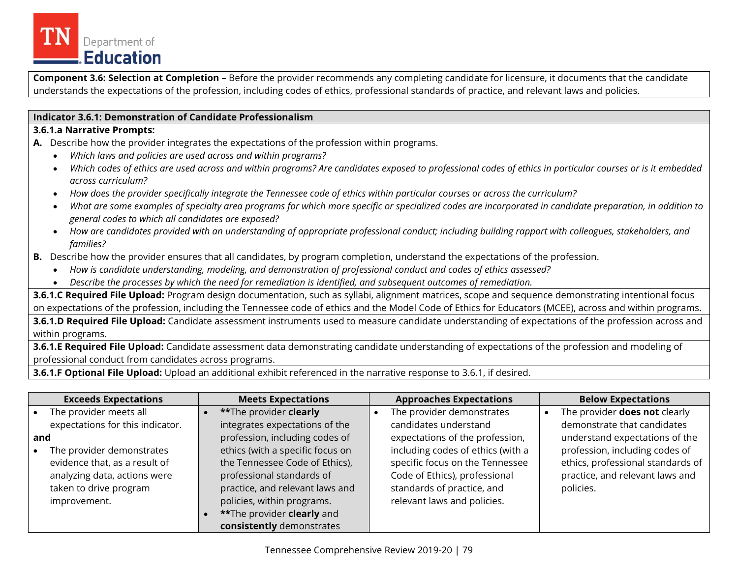

**Component 3.6: Selection at Completion –** Before the provider recommends any completing candidate for licensure, it documents that the candidate understands the expectations of the profession, including codes of ethics, professional standards of practice, and relevant laws and policies.

#### **Indicator 3.6.1: Demonstration of Candidate Professionalism**

#### **3.6.1.a Narrative Prompts:**

**A.** Describe how the provider integrates the expectations of the profession within programs.

- *Which laws and policies are used across and within programs?*
- *Which codes of ethics are used across and within programs? Are candidates exposed to professional codes of ethics in particular courses or is it embedded across curriculum?*
- *How does the provider specifically integrate the Tennessee code of ethics within particular courses or across the curriculum?*
- *What are some examples of specialty area programs for which more specific or specialized codes are incorporated in candidate preparation, in addition to general codes to which all candidates are exposed?*
- *How are candidates provided with an understanding of appropriate professional conduct; including building rapport with colleagues, stakeholders, and families?*
- **B.** Describe how the provider ensures that all candidates, by program completion, understand the expectations of the profession.
	- *How is candidate understanding, modeling, and demonstration of professional conduct and codes of ethics assessed?*
	- *Describe the processes by which the need for remediation is identified, and subsequent outcomes of remediation.*

**3.6.1.C Required File Upload:** Program design documentation, such as syllabi, alignment matrices, scope and sequence demonstrating intentional focus on expectations of the profession, including the Tennessee code of ethics and the Model Code of Ethics for Educators (MCEE), across and within programs.

**3.6.1.D Required File Upload:** Candidate assessment instruments used to measure candidate understanding of expectations of the profession across and within programs.

**3.6.1.E Required File Upload:** Candidate assessment data demonstrating candidate understanding of expectations of the profession and modeling of professional conduct from candidates across programs.

**3.6.1.F Optional File Upload:** Upload an additional exhibit referenced in the narrative response to 3.6.1, if desired.

|     | <b>Exceeds Expectations</b>                                                                                                          | <b>Meets Expectations</b>                                                                                                                                        | <b>Approaches Expectations</b>                                                                                                                                     | <b>Below Expectations</b>                                                                                           |
|-----|--------------------------------------------------------------------------------------------------------------------------------------|------------------------------------------------------------------------------------------------------------------------------------------------------------------|--------------------------------------------------------------------------------------------------------------------------------------------------------------------|---------------------------------------------------------------------------------------------------------------------|
|     | The provider meets all                                                                                                               | **The provider clearly                                                                                                                                           | The provider demonstrates                                                                                                                                          | The provider <b>does not</b> clearly                                                                                |
|     | expectations for this indicator.                                                                                                     | integrates expectations of the                                                                                                                                   | candidates understand                                                                                                                                              | demonstrate that candidates                                                                                         |
| and |                                                                                                                                      | profession, including codes of                                                                                                                                   | expectations of the profession,                                                                                                                                    | understand expectations of the                                                                                      |
|     | The provider demonstrates<br>evidence that, as a result of<br>analyzing data, actions were<br>taken to drive program<br>improvement. | ethics (with a specific focus on<br>the Tennessee Code of Ethics),<br>professional standards of<br>practice, and relevant laws and<br>policies, within programs. | including codes of ethics (with a<br>specific focus on the Tennessee<br>Code of Ethics), professional<br>standards of practice, and<br>relevant laws and policies. | profession, including codes of<br>ethics, professional standards of<br>practice, and relevant laws and<br>policies. |
|     |                                                                                                                                      | **The provider clearly and<br>consistently demonstrates                                                                                                          |                                                                                                                                                                    |                                                                                                                     |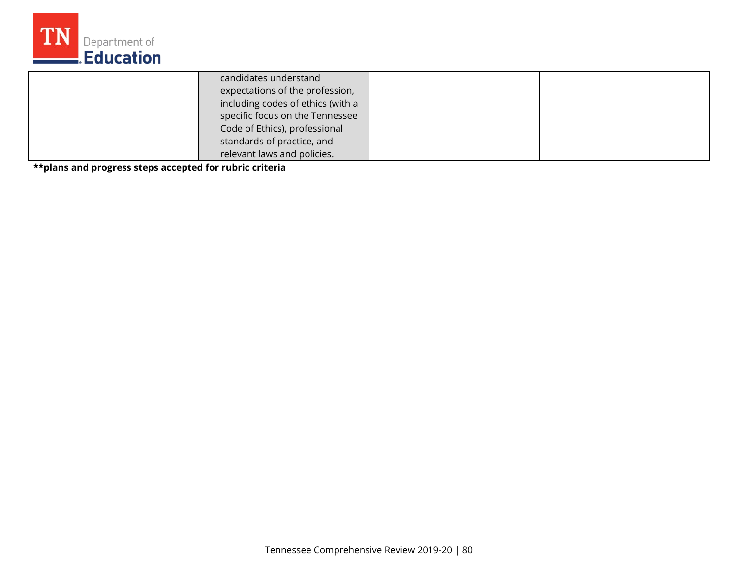

| candidates understand             |  |
|-----------------------------------|--|
| expectations of the profession,   |  |
| including codes of ethics (with a |  |
| specific focus on the Tennessee   |  |
| Code of Ethics), professional     |  |
| standards of practice, and        |  |
| relevant laws and policies.       |  |

**\*\*plans and progress steps accepted for rubric criteria**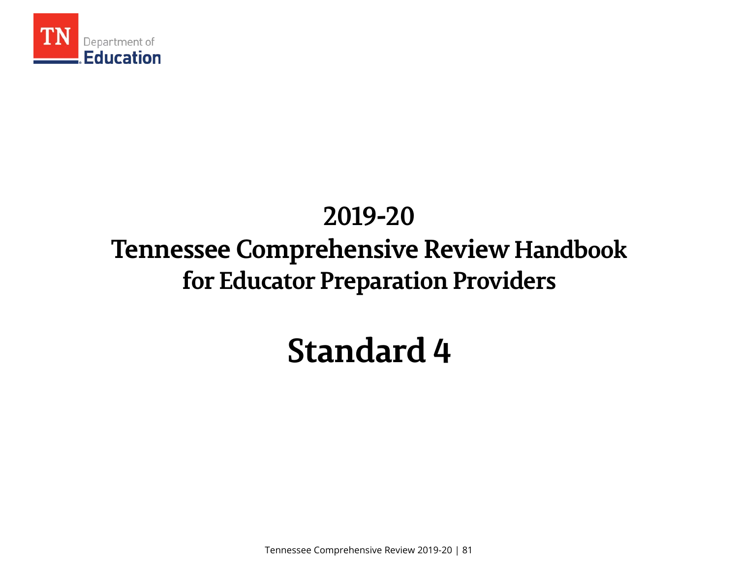

# **Tennessee Comprehensive Review Handbook 2019-20 for Educator Preparation Providers**

# **Standard 4**

Tennessee Comprehensive Review 2019-20 | 81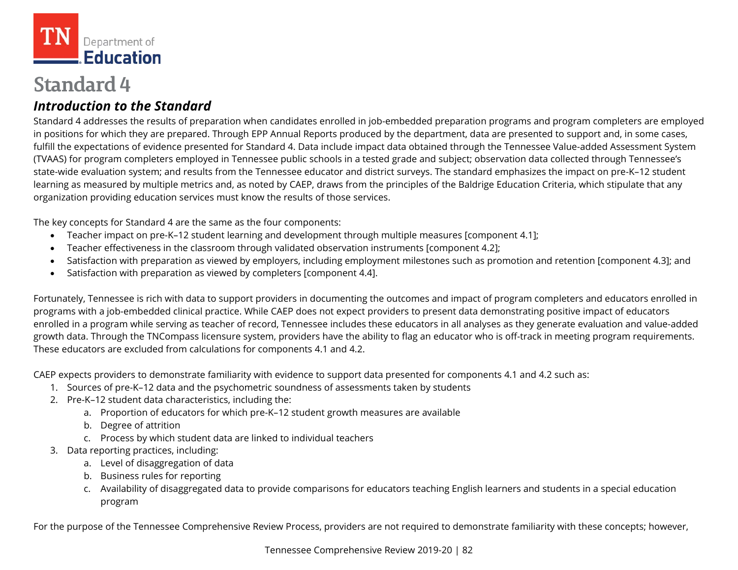

# **Standard 4**

# *Introduction to the Standard*

Standard 4 addresses the results of preparation when candidates enrolled in job-embedded preparation programs and program completers are employed in positions for which they are prepared. Through EPP Annual Reports produced by the department, data are presented to support and, in some cases, fulfill the expectations of evidence presented for Standard 4. Data include impact data obtained through the Tennessee Value-added Assessment System (TVAAS) for program completers employed in Tennessee public schools in a tested grade and subject; observation data collected through Tennessee's state-wide evaluation system; and results from the Tennessee educator and district surveys. The standard emphasizes the impact on pre-K–12 student learning as measured by multiple metrics and, as noted by CAEP, draws from the principles of the Baldrige Education Criteria, which stipulate that any

organization providing education services must know the results of those services.<br>The key concepts for Standard 4 are the same as the four components:

- Teacher impact on pre-K–12 student learning and development through multiple measures [component 4.1];
- Teacher effectiveness in the classroom through validated observation instruments [component 4.2];
- Satisfaction with preparation as viewed by employers, including employment milestones such as promotion and retention [component 4.3]; and
- Satisfaction with preparation as viewed by completers [component 4.4].

Fortunately, Tennessee is rich with data to support providers in documenting the outcomes and impact of program completers and educators enrolled in programs with a job-embedded clinical practice. While CAEP does not expect providers to present data demonstrating positive impact of educators enrolled in a program while serving as teacher of record, Tennessee includes these educators in all analyses as they generate evaluation and value-added growth data. Through the TNCompass licensure system, providers have the ability to flag an educator who is off-track in meeting program requirements. These educators are excluded from calculations for components 4.1 and 4.2.

CAEP expects providers to demonstrate familiarity with evidence to support data presented for components 4.1 and 4.2 such as: 1. Sources of pre-K–12 data and the psychometric soundness of assessments taken by students

- 
- 2. Pre-K–12 student data characteristics, including the:
	- a. Proportion of educators for which pre-K–12 student growth measures are available
	- b. Degree of attrition
	- c. Process by which student data are linked to individual teachers
- 3. Data reporting practices, including:
	- a. Level of disaggregation of data
	- b. Business rules for reporting
	- c. Availability of disaggregated data to provide comparisons for educators teaching English learners and students in a special education program

For the purpose of the Tennessee Comprehensive Review Process, providers are not required to demonstrate familiarity with these concepts; however,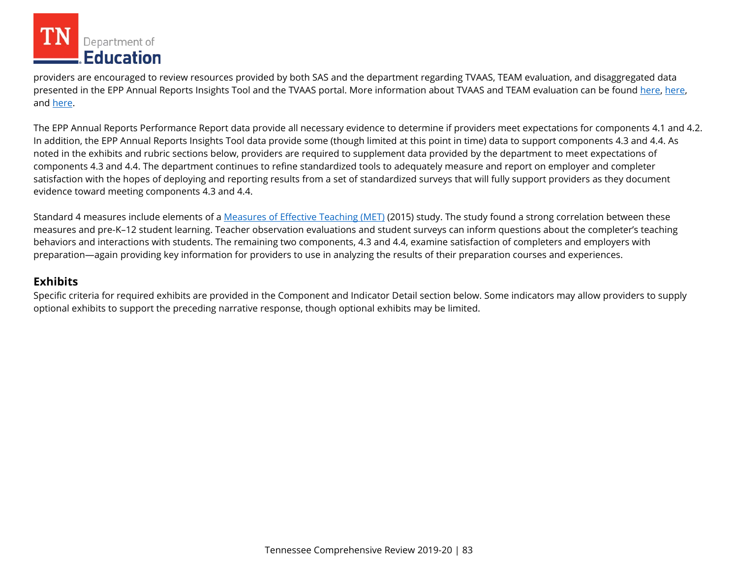

providers are encouraged to review resources provided by both SAS and the department regarding TVAAS, TEAM evaluation, and disaggregated data presented in the EPP Annual Reports Insights Tool and the TVAAS portal. More information about TVAAS and TEAM evaluation can be found [here,](https://www.tn.gov/education/data/tvaas.html) here, and [here.](https://team-tn.org/)

 In addition, the EPP Annual Reports Insights Tool data provide some (though limited at this point in time) data to support components 4.3 and 4.4. As The EPP Annual Reports Performance Report data provide all necessary evidence to determine if providers meet expectations for components 4.1 and 4.2. noted in the exhibits and rubric sections below, providers are required to supplement data provided by the department to meet expectations of components 4.3 and 4.4. The department continues to refine standardized tools to adequately measure and report on employer and completer satisfaction with the hopes of deploying and reporting results from a set of standardized surveys that will fully support providers as they document evidence toward meeting components 4.3 and 4.4.

Standard 4 measures include elements of a <u>Measures of Effective Teaching (MET)</u> (2015) study. The study found a strong correlation between these measures and pre-K–12 student learning. Teacher observation evaluations and student surveys can inform questions about the completer's teaching behaviors and interactions with students. The remaining two components, 4.3 and 4.4, examine satisfaction of completers and employers with preparation—again providing key information for providers to use in analyzing the results of their preparation courses and experiences.

#### **Exhibits**

optional exhibits to support the preceding narrative response, though optional exhibits may be limited. Specific criteria for required exhibits are provided in the Component and Indicator Detail section below. Some indicators may allow providers to supply optional exhibits to support the preceding narrative response, though optional exhibits may be limited. Tennessee Comprehensive Review 2019-20 | 83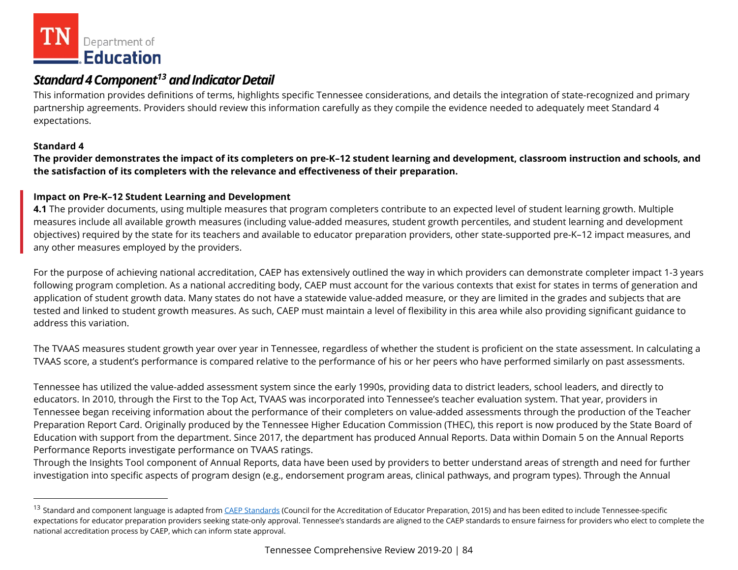<span id="page-83-0"></span>

# *Standard 4Componen[t13](#page-83-0) and IndicatorDetail*

 expectations. This information provides definitions of terms, highlights specific Tennessee considerations, and details the integration of state-recognized and primary partnership agreements. Providers should review this information carefully as they compile the evidence needed to adequately meet Standard 4

#### **Standard 4**

l

**The provider demonstrates the impact of its completers on pre-K–12 student learning and development, classroom instruction and schools, and the satisfaction of its completers with the relevance and effectiveness of their preparation.** 

#### **Impact on Pre-K–12 Student Learning and Development**

**4.1** The provider documents, using multiple measures that program completers contribute to an expected level of student learning growth. Multiple measures include all available growth measures (including value-added measures, student growth percentiles, and student learning and development objectives) required by the state for its teachers and available to educator preparation providers, other state-supported pre-K–12 impact measures, and any other measures employed by the providers.

 tested and linked to student growth measures. As such, CAEP must maintain a level of flexibility in this area while also providing significant guidance to For the purpose of achieving national accreditation, CAEP has extensively outlined the way in which providers can demonstrate completer impact 1-3 years following program completion. As a national accrediting body, CAEP must account for the various contexts that exist for states in terms of generation and application of student growth data. Many states do not have a statewide value-added measure, or they are limited in the grades and subjects that are address this variation.

 The TVAAS measures student growth year over year in Tennessee, regardless of whether the student is proficient on the state assessment. In calculating a TVAAS score, a student's performance is compared relative to the performance of his or her peers who have performed similarly on past assessments.

Tennessee has utilized the value-added assessment system since the early 1990s, providing data to district leaders, school leaders, and directly to educators. In 2010, through the First to the Top Act, TVAAS was incorporated into Tennessee's teacher evaluation system. That year, providers in Tennessee began receiving information about the performance of their completers on value-added assessments through the production of the Teacher Preparation Report Card. Originally produced by the Tennessee Higher Education Commission (THEC), this report is now produced by the State Board of Education with support from the department. Since 2017, the department has produced Annual Reports. Data within Domain 5 on the Annual Reports Performance Reports investigate performance on TVAAS ratings.

Through the Insights Tool component of Annual Reports, data have been used by providers to better understand areas of strength and need for further investigation into specific aspects of program design (e.g., endorsement program areas, clinical pathways, and program types). Through the Annual

<sup>&</sup>lt;sup>13</sup> Standard and component language is adapted from [CAEP Standards](http://caepnet.org/standards/introduction) (Council for the Accreditation of Educator Preparation, 2015) and has been edited to include Tennessee-specific expectations for educator preparation providers seeking state-only approval. Tennessee's standards are aligned to the CAEP standards to ensure fairness for providers who elect to complete the national accreditation process by CAEP, which can inform state approval.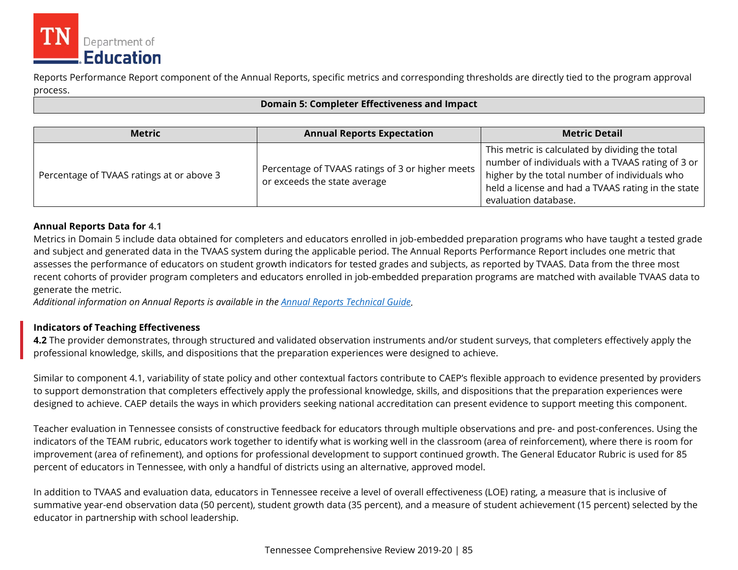

Reports Performance Report component of the Annual Reports, specific metrics and corresponding thresholds are directly tied to the program approval process.

#### **Domain 5: Completer Effectiveness and Impact**

| <b>Metric</b>                             | <b>Annual Reports Expectation</b>                                                | <b>Metric Detail</b>                                                                                                                                                                                                                |
|-------------------------------------------|----------------------------------------------------------------------------------|-------------------------------------------------------------------------------------------------------------------------------------------------------------------------------------------------------------------------------------|
| Percentage of TVAAS ratings at or above 3 | Percentage of TVAAS ratings of 3 or higher meets<br>or exceeds the state average | This metric is calculated by dividing the total<br>number of individuals with a TVAAS rating of 3 or<br>higher by the total number of individuals who<br>held a license and had a TVAAS rating in the state<br>evaluation database. |

#### **Annual Reports Data for 4.1**

 recent cohorts of provider program completers and educators enrolled in job-embedded preparation programs are matched with available TVAAS data to generate the metric. Metrics in Domain 5 include data obtained for completers and educators enrolled in job-embedded preparation programs who have taught a tested grade and subject and generated data in the TVAAS system during the applicable period. The Annual Reports Performance Report includes one metric that assesses the performance of educators on student growth indicators for tested grades and subjects, as reported by TVAAS. Data from the three most

*Additional information on Annual Reports is available in the [Annual Reports Technical Guide.](https://k-12.education.tn.gov/update/other/2017_Annual_Reports_Technical_Guide.pdf)* 

#### **Indicators of Teaching Effectiveness**

**4.2** The provider demonstrates, through structured and validated observation instruments and/or student surveys, that completers effectively apply the professional knowledge, skills, and dispositions that the preparation experiences were designed to achieve.

 Similar to component 4.1, variability of state policy and other contextual factors contribute to CAEP's flexible approach to evidence presented by providers to support demonstration that completers effectively apply the professional knowledge, skills, and dispositions that the preparation experiences were designed to achieve. CAEP details the ways in which providers seeking national accreditation can present evidence to support meeting this component.

Teacher evaluation in Tennessee consists of constructive feedback for educators through multiple observations and pre- and post-conferences. Using the indicators of the TEAM rubric, educators work together to identify what is working well in the classroom (area of reinforcement), where there is room for improvement (area of refinement), and options for professional development to support continued growth. The General Educator Rubric is used for 85 percent of educators in Tennessee, with only a handful of districts using an alternative, approved model.

In addition to TVAAS and evaluation data, educators in Tennessee receive a level of overall effectiveness (LOE) rating, a measure that is inclusive of summative year-end observation data (50 percent), student growth data (35 percent), and a measure of student achievement (15 percent) selected by the educator in partnership with school leadership.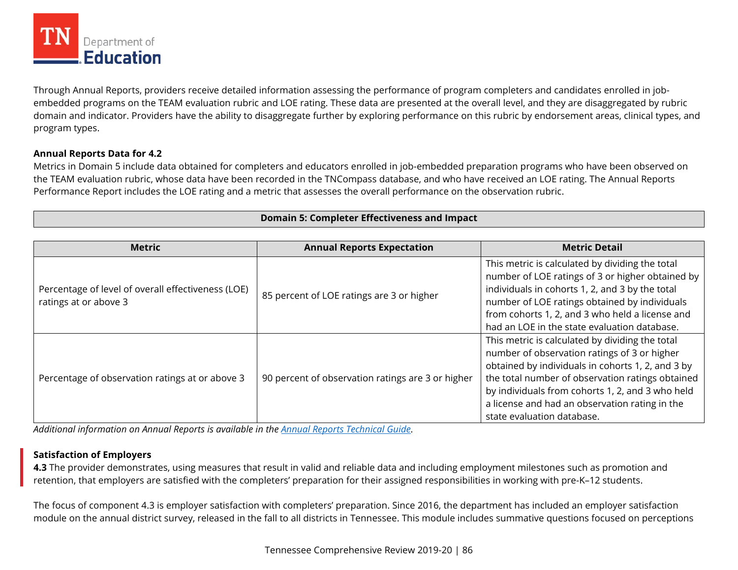

Through Annual Reports, providers receive detailed information assessing the performance of program completers and candidates enrolled in jobembedded programs on the TEAM evaluation rubric and LOE rating. These data are presented at the overall level, and they are disaggregated by rubric domain and indicator. Providers have the ability to disaggregate further by exploring performance on this rubric by endorsement areas, clinical types, and program types.

#### **Annual Reports Data for 4.2**

 Performance Report includes the LOE rating and a metric that assesses the overall performance on the observation rubric. Metrics in Domain 5 include data obtained for completers and educators enrolled in job-embedded preparation programs who have been observed on the TEAM evaluation rubric, whose data have been recorded in the TNCompass database, and who have received an LOE rating. The Annual Reports

| <b>Domain 5: Completer Effectiveness and Impact</b> |  |
|-----------------------------------------------------|--|
|                                                     |  |

| <b>Metric</b>                                      | <b>Annual Reports Expectation</b>                 | <b>Metric Detail</b>                              |
|----------------------------------------------------|---------------------------------------------------|---------------------------------------------------|
|                                                    |                                                   | This metric is calculated by dividing the total   |
|                                                    |                                                   | number of LOE ratings of 3 or higher obtained by  |
| Percentage of level of overall effectiveness (LOE) | 85 percent of LOE ratings are 3 or higher         | individuals in cohorts 1, 2, and 3 by the total   |
| ratings at or above 3                              |                                                   | number of LOE ratings obtained by individuals     |
|                                                    |                                                   | from cohorts 1, 2, and 3 who held a license and   |
|                                                    |                                                   | had an LOE in the state evaluation database.      |
|                                                    |                                                   | This metric is calculated by dividing the total   |
|                                                    |                                                   | number of observation ratings of 3 or higher      |
|                                                    |                                                   | obtained by individuals in cohorts 1, 2, and 3 by |
| Percentage of observation ratings at or above 3    | 90 percent of observation ratings are 3 or higher | the total number of observation ratings obtained  |
|                                                    |                                                   | by individuals from cohorts 1, 2, and 3 who held  |
|                                                    |                                                   | a license and had an observation rating in the    |
|                                                    |                                                   | state evaluation database.                        |

*Additional information on Annual Reports is available in the [Annual Reports Technical Guide.](https://k-12.education.tn.gov/update/other/2017_Annual_Reports_Technical_Guide.pdf)* 

#### **Satisfaction of Employers**

**4.3** The provider demonstrates, using measures that result in valid and reliable data and including employment milestones such as promotion and retention, that employers are satisfied with the completers' preparation for their assigned responsibilities in working with pre-K–12 students.

The focus of component 4.3 is employer satisfaction with completers' preparation. Since 2016, the department has included an employer satisfaction module on the annual district survey, released in the fall to all districts in Tennessee. This module includes summative questions focused on perceptions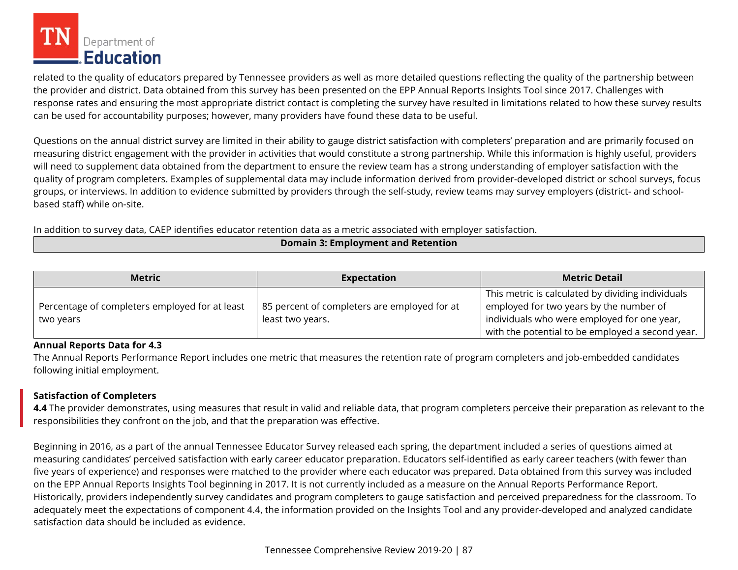

related to the quality of educators prepared by Tennessee providers as well as more detailed questions reflecting the quality of the partnership between the provider and district. Data obtained from this survey has been presented on the EPP Annual Reports Insights Tool since 2017. Challenges with response rates and ensuring the most appropriate district contact is completing the survey have resulted in limitations related to how these survey results can be used for accountability purposes; however, many providers have found these data to be useful.

based staff) while on-site. Questions on the annual district survey are limited in their ability to gauge district satisfaction with completers' preparation and are primarily focused on measuring district engagement with the provider in activities that would constitute a strong partnership. While this information is highly useful, providers will need to supplement data obtained from the department to ensure the review team has a strong understanding of employer satisfaction with the quality of program completers. Examples of supplemental data may include information derived from provider-developed district or school surveys, focus groups, or interviews. In addition to evidence submitted by providers through the self-study, review teams may survey employers (district- and school-

In addition to survey data, CAEP identifies educator retention data as a metric associated with employer satisfaction.

| <b>Metric</b>                                  | <b>Expectation</b>                           | <b>Metric Detail</b>                                                                         |  |  |
|------------------------------------------------|----------------------------------------------|----------------------------------------------------------------------------------------------|--|--|
| Percentage of completers employed for at least | 85 percent of completers are employed for at | This metric is calculated by dividing individuals<br>employed for two years by the number of |  |  |
| two years                                      | least two years.                             | individuals who were employed for one year,                                                  |  |  |
|                                                |                                              | with the potential to be employed a second year.                                             |  |  |

#### **Annual Reports Data for 4.3**

The Annual Reports Performance Report includes one metric that measures the retention rate of program completers and job-embedded candidates following initial employment.

#### **Satisfaction of Completers**

**4.4** The provider demonstrates, using measures that result in valid and reliable data, that program completers perceive their preparation as relevant to the responsibilities they confront on the job, and that the preparation was effective.

Beginning in 2016, as a part of the annual Tennessee Educator Survey released each spring, the department included a series of questions aimed at measuring candidates' perceived satisfaction with early career educator preparation. Educators self-identified as early career teachers (with fewer than five years of experience) and responses were matched to the provider where each educator was prepared. Data obtained from this survey was included on the EPP Annual Reports Insights Tool beginning in 2017. It is not currently included as a measure on the Annual Reports Performance Report. Historically, providers independently survey candidates and program completers to gauge satisfaction and perceived preparedness for the classroom. To adequately meet the expectations of component 4.4, the information provided on the Insights Tool and any provider-developed and analyzed candidate satisfaction data should be included as evidence.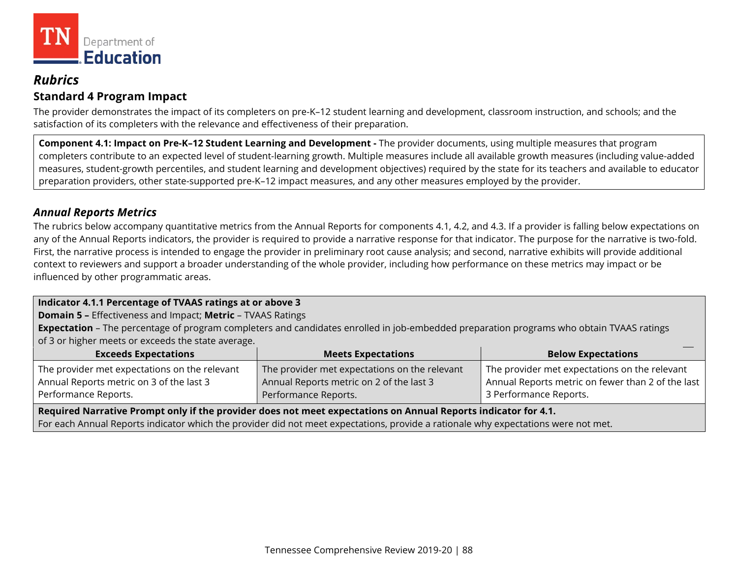

### *Rubrics*  **Standard 4 Program Impact**

The provider demonstrates the impact of its completers on pre-K–12 student learning and development, classroom instruction, and schools; and the satisfaction of its completers with the relevance and effectiveness of their preparation.

**Component 4.1: Impact on Pre-K–12 Student Learning and Development -** The provider documents, using multiple measures that program completers contribute to an expected level of student-learning growth. Multiple measures include all available growth measures (including value-added measures, student-growth percentiles, and student learning and development objectives) required by the state for its teachers and available to educator preparation providers, other state-supported pre-K–12 impact measures, and any other measures employed by the provider.

### *Annual Reports Metrics*

The rubrics below accompany quantitative metrics from the Annual Reports for components 4.1, 4.2, and 4.3. If a provider is falling below expectations on any of the Annual Reports indicators, the provider is required to provide a narrative response for that indicator. The purpose for the narrative is two-fold. First, the narrative process is intended to engage the provider in preliminary root cause analysis; and second, narrative exhibits will provide additional context to reviewers and support a broader understanding of the whole provider, including how performance on these metrics may impact or be influenced by other programmatic areas.

#### **Indicator 4.1.1 Percentage of TVAAS ratings at or above 3**

**Domain 5 –** Effectiveness and Impact; **Metric** – TVAAS Ratings

 **Expectation** – The percentage of program completers and candidates enrolled in job-embedded preparation programs who obtain TVAAS ratings of 3 or higher meets or exceeds the state average.

| <b>Exceeds Expectations</b>                   | <b>Meets Expectations</b>                     | <b>Below Expectations</b>                         |
|-----------------------------------------------|-----------------------------------------------|---------------------------------------------------|
| The provider met expectations on the relevant | The provider met expectations on the relevant | The provider met expectations on the relevant     |
| Annual Reports metric on 3 of the last 3      | Annual Reports metric on 2 of the last 3      | Annual Reports metric on fewer than 2 of the last |
| Performance Reports.                          | Performance Reports.                          | <sup>1</sup> 3 Performance Reports.               |

 **Required Narrative Prompt only if the provider does not meet expectations on Annual Reports indicator for 4.1.** 

For each Annual Reports indicator which the provider did not meet expectations, provide a rationale why expectations were not met.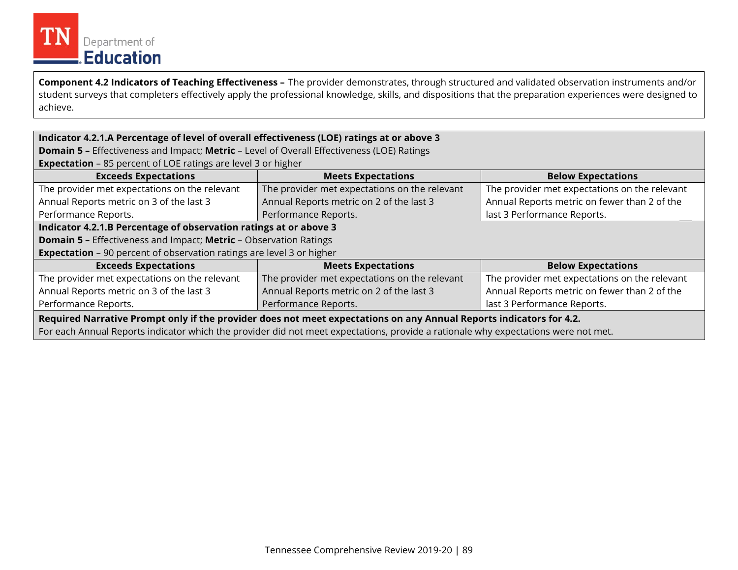

 student surveys that completers effectively apply the professional knowledge, skills, and dispositions that the preparation experiences were designed to **Component 4.2 Indicators of Teaching Effectiveness –** The provider demonstrates, through structured and validated observation instruments and/or achieve.

#### **Indicator 4.2.1.A Percentage of level of overall effectiveness (LOE) ratings at or above 3**

**Domain 5 –** Effectiveness and Impact; **Metric** – Level of Overall Effectiveness (LOE) Ratings

**Expectation** – 85 percent of LOE ratings are level 3 or higher

| <b>Exceeds Expectations</b>                                                                                                                                                                                                                               | <b>Meets Expectations</b>                     | <b>Below Expectations</b>                     |  |  |  |  |  |  |
|-----------------------------------------------------------------------------------------------------------------------------------------------------------------------------------------------------------------------------------------------------------|-----------------------------------------------|-----------------------------------------------|--|--|--|--|--|--|
| The provider met expectations on the relevant                                                                                                                                                                                                             | The provider met expectations on the relevant | The provider met expectations on the relevant |  |  |  |  |  |  |
| Annual Reports metric on 3 of the last 3                                                                                                                                                                                                                  | Annual Reports metric on 2 of the last 3      | Annual Reports metric on fewer than 2 of the  |  |  |  |  |  |  |
| Performance Reports.                                                                                                                                                                                                                                      | Performance Reports.                          | last 3 Performance Reports.                   |  |  |  |  |  |  |
| Indicator 4.2.1.B Percentage of observation ratings at or above 3                                                                                                                                                                                         |                                               |                                               |  |  |  |  |  |  |
| <b>Domain 5 - Effectiveness and Impact; Metric - Observation Ratings</b>                                                                                                                                                                                  |                                               |                                               |  |  |  |  |  |  |
| <b>Expectation</b> - 90 percent of observation ratings are level 3 or higher                                                                                                                                                                              |                                               |                                               |  |  |  |  |  |  |
| <b>Exceeds Expectations</b>                                                                                                                                                                                                                               | <b>Meets Expectations</b>                     | <b>Below Expectations</b>                     |  |  |  |  |  |  |
| The provider met expectations on the relevant                                                                                                                                                                                                             | The provider met expectations on the relevant | The provider met expectations on the relevant |  |  |  |  |  |  |
| Annual Reports metric on 3 of the last 3                                                                                                                                                                                                                  | Annual Reports metric on 2 of the last 3      | Annual Reports metric on fewer than 2 of the  |  |  |  |  |  |  |
| Performance Reports.                                                                                                                                                                                                                                      | Performance Reports.                          | last 3 Performance Reports.                   |  |  |  |  |  |  |
| Required Narrative Prompt only if the provider does not meet expectations on any Annual Reports indicators for 4.2.<br>For each Annual Reports indicator which the provider did not meet expectations, provide a rationale why expectations were not met. |                                               |                                               |  |  |  |  |  |  |

Tennessee Comprehensive Review 2019-20 | 89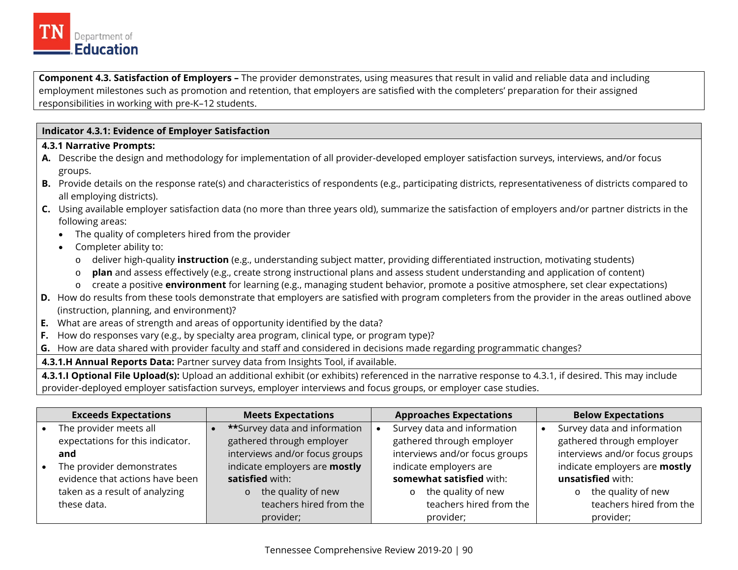

**Component 4.3. Satisfaction of Employers –** The provider demonstrates, using measures that result in valid and reliable data and including employment milestones such as promotion and retention, that employers are satisfied with the completers' preparation for their assigned responsibilities in working with pre-K–12 students.

#### **Indicator 4.3.1: Evidence of Employer Satisfaction**

#### **4.3.1 Narrative Prompts:**

- **A.** Describe the design and methodology for implementation of all provider-developed employer satisfaction surveys, interviews, and/or focus groups.
- **B.** Provide details on the response rate(s) and characteristics of respondents (e.g., participating districts, representativeness of districts compared to all employing districts).
- **C.** Using available employer satisfaction data (no more than three years old), summarize the satisfaction of employers and/or partner districts in the following areas:
	- The quality of completers hired from the provider
	- Completer ability to:
		- o deliver high-quality **instruction** (e.g., understanding subject matter, providing differentiated instruction, motivating students)
		- o **plan** and assess effectively (e.g., create strong instructional plans and assess student understanding and application of content)
		- o create a positive **environment** for learning (e.g., managing student behavior, promote a positive atmosphere, set clear expectations)
- **D.** How do results from these tools demonstrate that employers are satisfied with program completers from the provider in the areas outlined above (instruction, planning, and environment)?
- **E.** What are areas of strength and areas of opportunity identified by the data?
- **F.** How do responses vary (e.g., by specialty area program, clinical type, or program type)?
- **G.** How are data shared with provider faculty and staff and considered in decisions made regarding programmatic changes?
- **4.3.1.H Annual Reports Data:** Partner survey data from Insights Tool, if available.

**4.3.1.I Optional File Upload(s):** Upload an additional exhibit (or exhibits) referenced in the narrative response to 4.3.1, if desired. This may include provider-deployed employer satisfaction surveys, employer interviews and focus groups, or employer case studies.

| <b>Exceeds Expectations</b>      | <b>Meets Expectations</b>             | <b>Approaches Expectations</b> | <b>Below Expectations</b>      |
|----------------------------------|---------------------------------------|--------------------------------|--------------------------------|
| The provider meets all           | <b>**</b> Survey data and information | Survey data and information    | Survey data and information    |
| expectations for this indicator. | gathered through employer             | gathered through employer      | gathered through employer      |
| and                              | interviews and/or focus groups        | interviews and/or focus groups | interviews and/or focus groups |
| The provider demonstrates        | indicate employers are mostly         | indicate employers are         | indicate employers are mostly  |
| evidence that actions have been  | satisfied with:                       | somewhat satisfied with:       | unsatisfied with:              |
| taken as a result of analyzing   | the quality of new<br>$\circ$         | the quality of new<br>$\circ$  | the quality of new<br>$\circ$  |
| these data.                      | teachers hired from the               | teachers hired from the        | teachers hired from the        |
|                                  | provider;                             | provider;                      | provider;                      |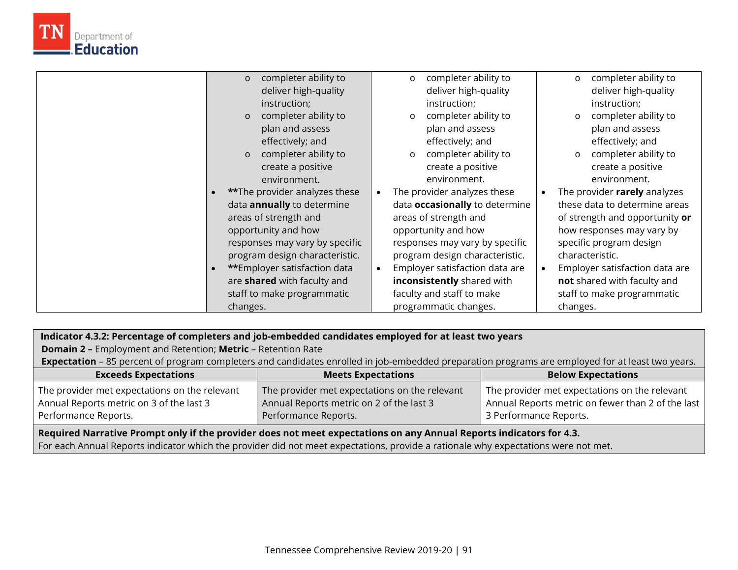

| completer ability to<br>deliver high-quality<br>instruction;<br>completer ability to<br>plan and assess<br>effectively; and<br>completer ability to<br>create a positive<br>environment. | completer ability to<br>$\circ$<br>deliver high-quality<br>instruction;<br>completer ability to<br>$\circ$<br>plan and assess<br>effectively; and<br>completer ability to<br>$\circ$<br>create a positive<br>environment. | completer ability to<br>$\circ$<br>deliver high-quality<br>instruction;<br>completer ability to<br>$\circ$<br>plan and assess<br>effectively; and<br>completer ability to<br>$\circ$<br>create a positive<br>environment. |
|------------------------------------------------------------------------------------------------------------------------------------------------------------------------------------------|---------------------------------------------------------------------------------------------------------------------------------------------------------------------------------------------------------------------------|---------------------------------------------------------------------------------------------------------------------------------------------------------------------------------------------------------------------------|
| <b>**The provider analyzes these</b>                                                                                                                                                     | The provider analyzes these                                                                                                                                                                                               | The provider rarely analyzes                                                                                                                                                                                              |
| data <b>annually</b> to determine                                                                                                                                                        | data <b>occasionally</b> to determine                                                                                                                                                                                     | these data to determine areas                                                                                                                                                                                             |
| areas of strength and                                                                                                                                                                    | areas of strength and                                                                                                                                                                                                     | of strength and opportunity or                                                                                                                                                                                            |
| opportunity and how                                                                                                                                                                      | opportunity and how                                                                                                                                                                                                       | how responses may vary by                                                                                                                                                                                                 |
| responses may vary by specific                                                                                                                                                           | responses may vary by specific                                                                                                                                                                                            | specific program design                                                                                                                                                                                                   |
| program design characteristic.                                                                                                                                                           | program design characteristic.                                                                                                                                                                                            | characteristic.                                                                                                                                                                                                           |
| **Employer satisfaction data                                                                                                                                                             | Employer satisfaction data are                                                                                                                                                                                            | Employer satisfaction data are                                                                                                                                                                                            |
| are shared with faculty and                                                                                                                                                              | inconsistently shared with                                                                                                                                                                                                | not shared with faculty and                                                                                                                                                                                               |
| staff to make programmatic                                                                                                                                                               | faculty and staff to make                                                                                                                                                                                                 | staff to make programmatic                                                                                                                                                                                                |
| changes.                                                                                                                                                                                 | programmatic changes.                                                                                                                                                                                                     | changes.                                                                                                                                                                                                                  |

**Indicator 4.3.2: Percentage of completers and job-embedded candidates employed for at least two years** 

**Domain 2 –** Employment and Retention; **Metric** – Retention Rate

**Expectation** – 85 percent of program completers and candidates enrolled in job-embedded preparation programs are employed for at least two years.

| <b>Exceeds Expectations</b>                   | <b>Meets Expectations</b>                     | <b>Below Expectations</b>                         |
|-----------------------------------------------|-----------------------------------------------|---------------------------------------------------|
| The provider met expectations on the relevant | The provider met expectations on the relevant | The provider met expectations on the relevant     |
| Annual Reports metric on 3 of the last 3      | Annual Reports metric on 2 of the last 3      | Annual Reports metric on fewer than 2 of the last |
| Performance Reports.                          | Performance Reports.                          | 3 Performance Reports.                            |

 **Required Narrative Prompt only if the provider does not meet expectations on any Annual Reports indicators for 4.3.** 

For each Annual Reports indicator which the provider did not meet expectations, provide a rationale why expectations were not met.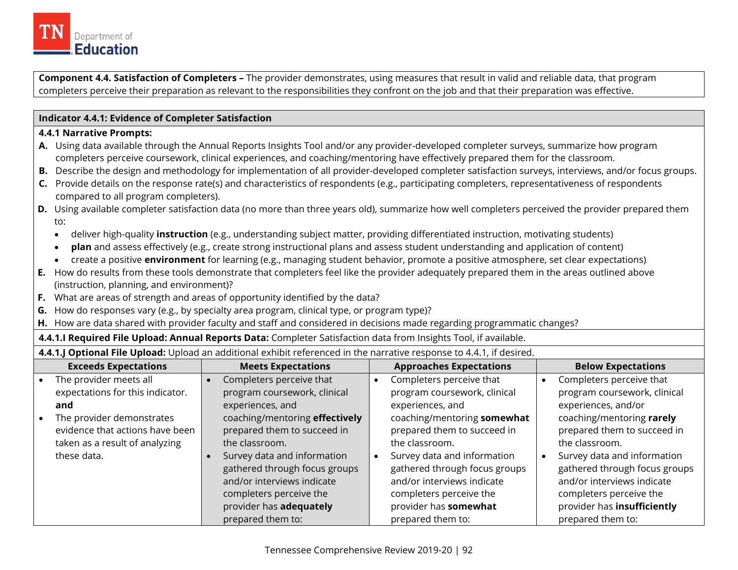

**Component 4.4. Satisfaction of Completers –** The provider demonstrates, using measures that result in valid and reliable data, that program completers perceive their preparation as relevant to the responsibilities they confront on the job and that their preparation was effective.

#### **Indicator 4.4.1: Evidence of Completer Satisfaction**

#### **4.4.1 Narrative Prompts:**

- **A.** Using data available through the Annual Reports Insights Tool and/or any provider-developed completer surveys, summarize how program completers perceive coursework, clinical experiences, and coaching/mentoring have effectively prepared them for the classroom.
- **B.** Describe the design and methodology for implementation of all provider-developed completer satisfaction surveys, interviews, and/or focus groups.
- **C.** Provide details on the response rate(s) and characteristics of respondents (e.g., participating completers, representativeness of respondents compared to all program completers).
- **D.** Using available completer satisfaction data (no more than three years old), summarize how well completers perceived the provider prepared them to:
	- deliver high-quality **instruction** (e.g., understanding subject matter, providing differentiated instruction, motivating students)
	- **plan** and assess effectively (e.g., create strong instructional plans and assess student understanding and application of content)
	- create a positive **environment** for learning (e.g., managing student behavior, promote a positive atmosphere, set clear expectations)
- **E.** How do results from these tools demonstrate that completers feel like the provider adequately prepared them in the areas outlined above (instruction, planning, and environment)?
- **F.** What are areas of strength and areas of opportunity identified by the data?
- **G.** How do responses vary (e.g., by specialty area program, clinical type, or program type)?
- **H.** How are data shared with provider faculty and staff and considered in decisions made regarding programmatic changes?
- **4.4.1.I Required File Upload: Annual Reports Data:** Completer Satisfaction data from Insights Tool, if available.
- **4.4.1.J Optional File Upload:** Upload an additional exhibit referenced in the narrative response to 4.4.1, if desired.

| <b>Exceeds Expectations</b>      | <b>Meets Expectations</b>      | <b>Approaches Expectations</b> | <b>Below Expectations</b>     |
|----------------------------------|--------------------------------|--------------------------------|-------------------------------|
| The provider meets all           | Completers perceive that       | Completers perceive that       | Completers perceive that      |
| expectations for this indicator. | program coursework, clinical   | program coursework, clinical   | program coursework, clinical  |
| and                              | experiences, and               | experiences, and               | experiences, and/or           |
| The provider demonstrates        | coaching/mentoring effectively | coaching/mentoring somewhat    | coaching/mentoring rarely     |
| evidence that actions have been  | prepared them to succeed in    | prepared them to succeed in    | prepared them to succeed in   |
| taken as a result of analyzing   | the classroom.                 | the classroom.                 | the classroom.                |
| these data.                      | Survey data and information    | Survey data and information    | Survey data and information   |
|                                  | gathered through focus groups  | gathered through focus groups  | gathered through focus groups |
|                                  | and/or interviews indicate     | and/or interviews indicate     | and/or interviews indicate    |
|                                  | completers perceive the        | completers perceive the        | completers perceive the       |
|                                  | provider has adequately        | provider has somewhat          | provider has insufficiently   |
|                                  | prepared them to:              | prepared them to:              | prepared them to:             |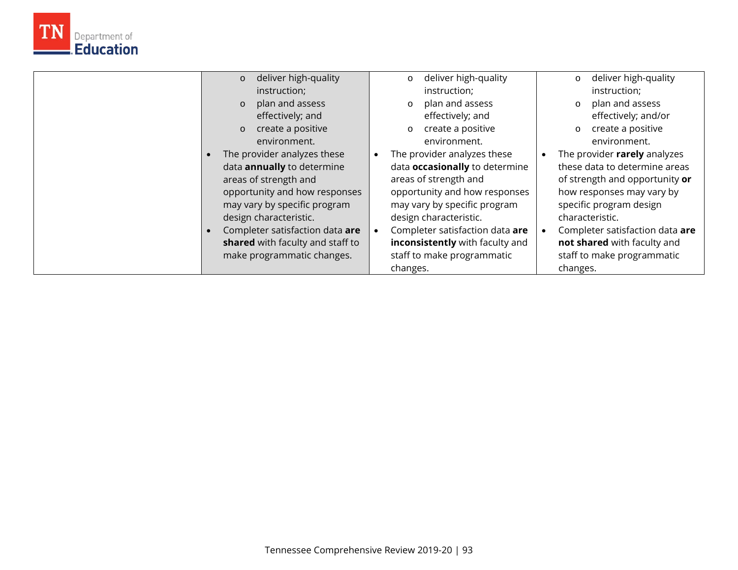

| deliver high-quality<br>$\circ$   | deliver high-quality<br>$\circ$          | deliver high-quality<br>$\circ$ |
|-----------------------------------|------------------------------------------|---------------------------------|
| instruction;                      | instruction;                             | instruction;                    |
| plan and assess<br>$\circ$        | plan and assess<br>$\circ$               | plan and assess<br>$\circ$      |
| effectively; and                  | effectively; and                         | effectively; and/or             |
| create a positive<br>$\circ$      | create a positive<br>$\circ$             | create a positive<br>$\circ$    |
| environment.                      | environment.                             | environment.                    |
| The provider analyzes these       | The provider analyzes these<br>$\bullet$ | The provider rarely analyzes    |
| data <b>annually</b> to determine | data <b>occasionally</b> to determine    | these data to determine areas   |
| areas of strength and             | areas of strength and                    | of strength and opportunity or  |
| opportunity and how responses     | opportunity and how responses            | how responses may vary by       |
| may vary by specific program      | may vary by specific program             | specific program design         |
| design characteristic.            | design characteristic.                   | characteristic.                 |
| Completer satisfaction data are   | Completer satisfaction data are          | Completer satisfaction data are |
| shared with faculty and staff to  | inconsistently with faculty and          | not shared with faculty and     |
| make programmatic changes.        | staff to make programmatic               | staff to make programmatic      |
|                                   | changes.                                 | changes.                        |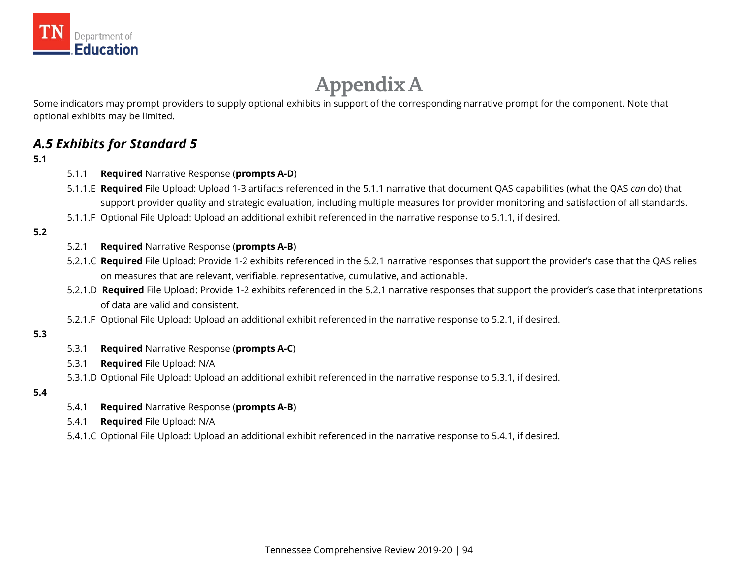

# **Appendix A**

Some indicators may prompt providers to supply optional exhibits in support of the corresponding narrative prompt for the component. Note that optional exhibits may be limited.

# *A.5 Exhibits for Standard 5*

#### **5.1**

- 5.1.1 **Required** Narrative Response (**prompts A-D**)
- 5.1.1.E **Required** File Upload: Upload 1-3 artifacts referenced in the 5.1.1 narrative that document QAS capabilities (what the QAS *can* do) that support provider quality and strategic evaluation, including multiple measures for provider monitoring and satisfaction of all standards.
- 5.1.1.F Optional File Upload: Upload an additional exhibit referenced in the narrative response to 5.1.1, if desired.

#### **5.2**

#### 5.2.1 **Required** Narrative Response (**prompts A-B**)

- 5.2.1.C **Required** File Upload: Provide 1-2 exhibits referenced in the 5.2.1 narrative responses that support the provider's case that the QAS relies on measures that are relevant, verifiable, representative, cumulative, and actionable.
- on measures that are relevant, verifiable, representative, cumulative, and actionable.<br>5.2.1.D **Required** File Upload: Provide 1-2 exhibits referenced in the 5.2.1 narrative responses that support the provider's case that of data are valid and consistent.
- 5.2.1.F Optional File Upload: Upload an additional exhibit referenced in the narrative response to 5.2.1, if desired.

#### **5.3**

- 5.3.1 **Required** Narrative Response (**prompts A-C**)
- 5.3.1 **Required** File Upload: N/A
- 5.3.1.D Optional File Upload: Upload an additional exhibit referenced in the narrative response to 5.3.1, if desired.

#### **5.4**

- 5.4.1 **Required** Narrative Response (**prompts A-B**)
- 5.4.1 **Required** File Upload: N/A
- 5.4.1.C Optional File Upload: Upload an additional exhibit referenced in the narrative response to 5.4.1, if desired.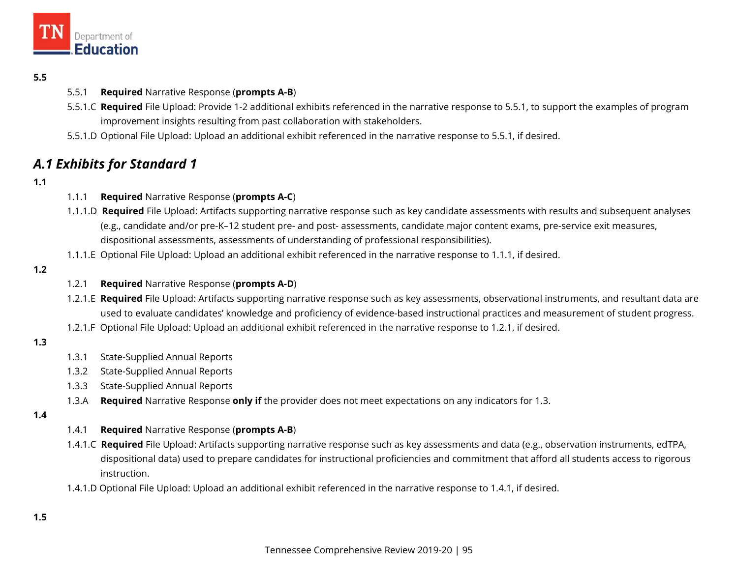

#### **5.5**

- 5.5.1 **Required** Narrative Response (**prompts A-B**)
- 5.5.1.C **Required** File Upload: Provide 1-2 additional exhibits referenced in the narrative response to 5.5.1, to support the examples of program improvement insights resulting from past collaboration with stakeholders.
- 5.5.1.D Optional File Upload: Upload an additional exhibit referenced in the narrative response to 5.5.1, if desired.

# *A.1 Exhibits for Standard 1*

#### **1.1**

- $1.1.1$ 1.1.1 **Required** Narrative Response (**prompts A-C**)
- 1.1.1.D **Required** File Upload: Artifacts supporting narrative response such as key candidate assessments with results and subsequent analyses (e.g., candidate and/or pre-K–12 student pre- and post- assessments, candidate major content exams, pre-service exit measures, dispositional assessments, assessments of understanding of professional responsibilities).
- 1.1.1.E Optional File Upload: Upload an additional exhibit referenced in the narrative response to 1.1.1, if desired.

#### **1.2**

#### 1.2.1 **Required** Narrative Response (**prompts A-D**)

- used to evaluate candidates' knowledge and proficiency of evidence-based instructional practices and measurement of student progress.<br>1.2.1.F Optional File Upload: Upload an additional exhibit referenced in the narrative 1.2.1.E **Required** File Upload: Artifacts supporting narrative response such as key assessments, observational instruments, and resultant data are
- 

#### **1.3**

- $1.3.1$ State-Supplied Annual Reports
- 1.3.2 State-Supplied Annual Reports
- 1.3.3 State-Supplied Annual Reports
- 1.3.A **Required** Narrative Response **only if** the provider does not meet expectations on any indicators for 1.3.

#### **1.4**

- 1.4.1 **Required** Narrative Response (**prompts A-B**)
- 1.4.1.C **Required** File Upload: Artifacts supporting narrative response such as key assessments and data (e.g., observation instruments, edTPA, dispositional data) used to prepare candidates for instructional proficiencies and commitment that afford all students access to rigorous instruction.
- 1.4.1.D Optional File Upload: Upload an additional exhibit referenced in the narrative response to 1.4.1, if desired.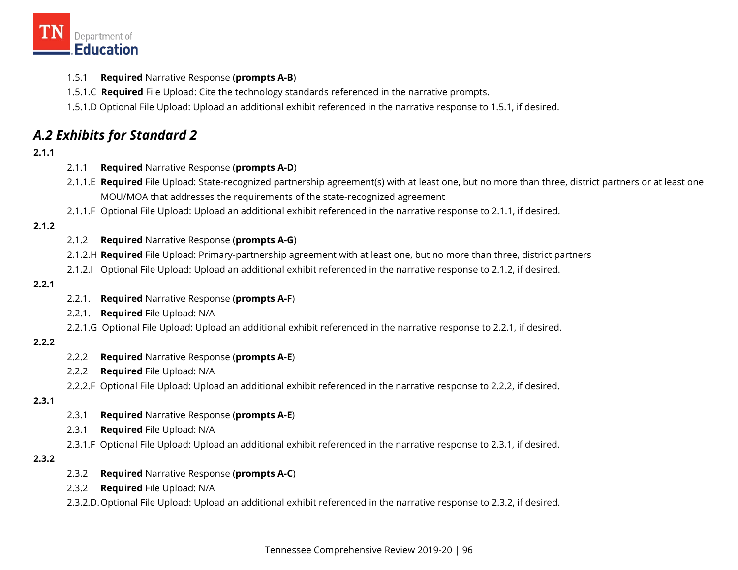

- 1.5.1 **Required** Narrative Response (**prompts A-B**)
- 1.5.1.C **Required** File Upload: Cite the technology standards referenced in the narrative prompts.
- 1.5.1.D Optional File Upload: Upload an additional exhibit referenced in the narrative response to 1.5.1, if desired.

# *A.2 Exhibits for Standard 2*

#### **2.1.1**

- 2.1.1 **Required** Narrative Response (**prompts A-D**)
- 2.1.1.E **Required** File Upload: State-recognized partnership agreement(s) with at least one, but no more than three, district partners or at least one MOU/MOA that addresses the requirements of the state-recognized agreement
- 2.1.1.F Optional File Upload: Upload an additional exhibit referenced in the narrative response to 2.1.1, if desired.

#### **2.1.2**

#### 2.1.2 **Required** Narrative Response (**prompts A-G**)

- 2.1.2.H **Required** File Upload: Primary-partnership agreement with at least one, but no more than three, district partners
- 2.1.2.I Optional File Upload: Upload an additional exhibit referenced in the narrative response to 2.1.2, if desired.

#### **2.2.1**

- 2.2.1. **Required** Narrative Response (**prompts A-F**)
- 2.2.1. **Required** File Upload: N/A
- 2.2.1.G Optional File Upload: Upload an additional exhibit referenced in the narrative response to 2.2.1, if desired.

#### **2.2.2**

- 2.2.2 **Required** Narrative Response (**prompts A-E**)
- 2.2.2 **Required** File Upload: N/A
- 2.2.2.F Optional File Upload: Upload an additional exhibit referenced in the narrative response to 2.2.2, if desired.

#### **2.3.1**

- 2.3.1 **Required** Narrative Response (**prompts A-E**)
- 2.3.1 **Required** File Upload: N/A
- 2.3.1.F Optional File Upload: Upload an additional exhibit referenced in the narrative response to 2.3.1, if desired.

#### **2.3.2**

- 2.3.2 **Required** Narrative Response (**prompts A-C**)
- 2.3.2 **Required** File Upload: N/A
- 2.3.2.D.Optional File Upload: Upload an additional exhibit referenced in the narrative response to 2.3.2, if desired.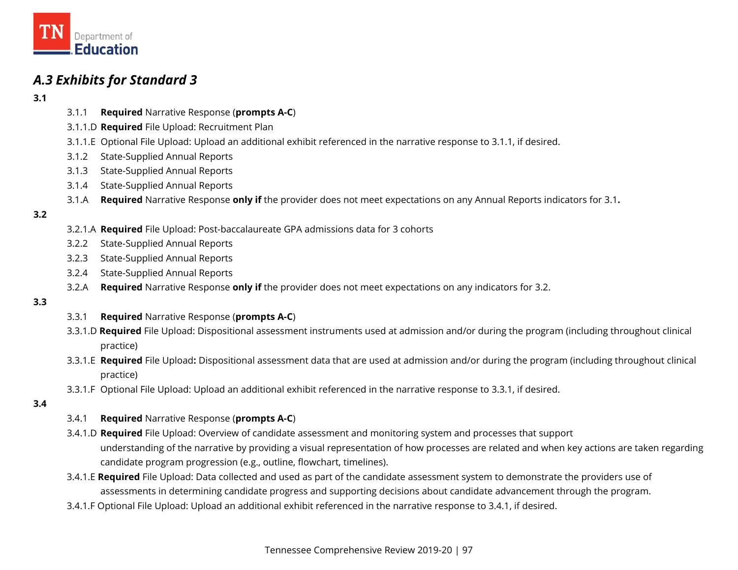

# *A.3 Exhibits for Standard 3*

- **3.1**
- 3.1.1 **Required** Narrative Response (**prompts A-C**)
- 3.1.1.D **Required** File Upload: Recruitment Plan
- 3.1.1.E Optional File Upload: Upload an additional exhibit referenced in the narrative response to 3.1.1, if desired.
- 3.1.2 State-Supplied Annual Reports
- 3.1.3 State-Supplied Annual Reports
- 3.1.4 State-Supplied Annual Reports
- 3.1.A **Required** Narrative Response **only if** the provider does not meet expectations on any Annual Reports indicators for 3.1**.**

#### **3.2**

- 3.2.1.A **Required** File Upload: Post-baccalaureate GPA admissions data for 3 cohorts
- 3.2.2 State-Supplied Annual Reports
- 3.2.3 State-Supplied Annual Reports
- 3.2.4 State-Supplied Annual Reports
- 3.2.A **Required** Narrative Response **only if** the provider does not meet expectations on any indicators for 3.2.

#### **3.3**

- 3.3.1 **Required** Narrative Response (**prompts A-C**)
- 3.3.1.D **Required** File Upload: Dispositional assessment instruments used at admission and/or during the program (including throughout clinical practice)
- 3.3.1.E **Required** File Upload**:** Dispositional assessment data that are used at admission and/or during the program (including throughout clinical practice)
- 3.3.1.F Optional File Upload: Upload an additional exhibit referenced in the narrative response to 3.3.1, if desired.

#### **3.4**

- 3.4.1 **Required** Narrative Response (**prompts A-C**)
- 3.4.1.D **Required** File Upload: Overview of candidate assessment and monitoring system and processes that support understanding of the narrative by providing a visual representation of how processes are related and when key actions are taken regarding candidate program progression (e.g., outline, flowchart, timelines).
- 3.4.1.E **Required** File Upload: Data collected and used as part of the candidate assessment system to demonstrate the providers use of assessments in determining candidate progress and supporting decisions about candidate advancement through the program.
- 3.4.1.F Optional File Upload: Upload an additional exhibit referenced in the narrative response to 3.4.1, if desired.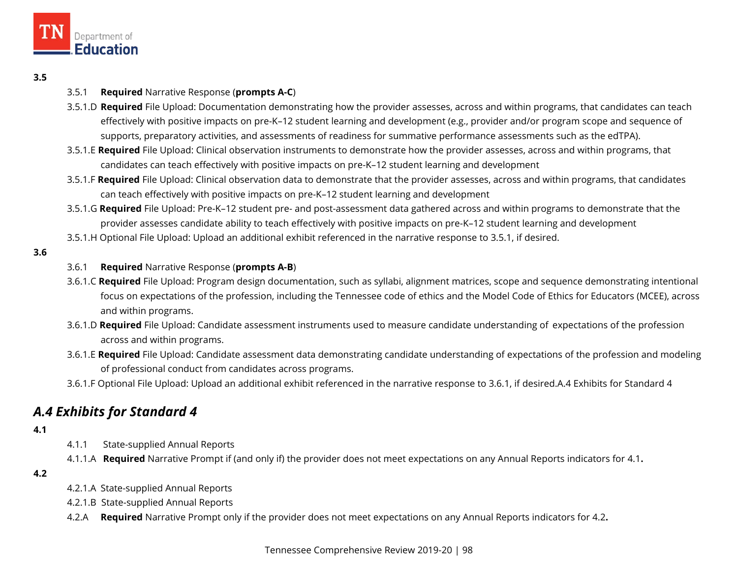

#### **3.5**

#### 3.5.1 **Required** Narrative Response (**prompts A-C**)

- 3.5.1.D **Required** File Upload: Documentation demonstrating how the provider assesses, across and within programs, that candidates can teach effectively with positive impacts on pre-K–12 student learning and development (e.g., provider and/or program scope and sequence of supports, preparatory activities, and assessments of readiness for summative performance assessments such as the edTPA).
- 3.5.1.E **Required** File Upload: Clinical observation instruments to demonstrate how the provider assesses, across and within programs, that candidates can teach effectively with positive impacts on pre-K–12 student learning and development
- 3.5.1.F **Required** File Upload: Clinical observation data to demonstrate that the provider assesses, across and within programs, that candidates can teach effectively with positive impacts on pre-K–12 student learning and development
- 3.5.1.G **Required** File Upload: Pre-K–12 student pre- and post-assessment data gathered across and within programs to demonstrate that the provider assesses candidate ability to teach effectively with positive impacts on pre-K–12 student learning and development
- 3.5.1.H Optional File Upload: Upload an additional exhibit referenced in the narrative response to 3.5.1, if desired.
- **3.6**

#### 3.6.1 **Required** Narrative Response (**prompts A-B**)

- 3.6.1.C **Required** File Upload: Program design documentation, such as syllabi, alignment matrices, scope and sequence demonstrating intentional focus on expectations of the profession, including the Tennessee code of ethics and the Model Code of Ethics for Educators (MCEE), across and within programs.
- 3.6.1.D **Required** File Upload: Candidate assessment instruments used to measure candidate understanding of expectations of the profession across and within programs.
- 3.6.1.E **Required** File Upload: Candidate assessment data demonstrating candidate understanding of expectations of the profession and modeling of professional conduct from candidates across programs.
- 3.6.1.F Optional File Upload: Upload an additional exhibit referenced in the narrative response to 3.6.1, if desired.A.4 Exhibits for Standard 4

# *A.4 Exhibits for Standard 4*

#### **4.1**

- $4.1.1$ State-supplied Annual Reports
- 4.1.1.A **Required** Narrative Prompt if (and only if) the provider does not meet expectations on any Annual Reports indicators for 4.1**.**

#### **4.2**

- 4.2.1.A State-supplied Annual Reports
- 4.2.1.B State-supplied Annual Reports
- 4.2.A **Required** Narrative Prompt only if the provider does not meet expectations on any Annual Reports indicators for 4.2**.**